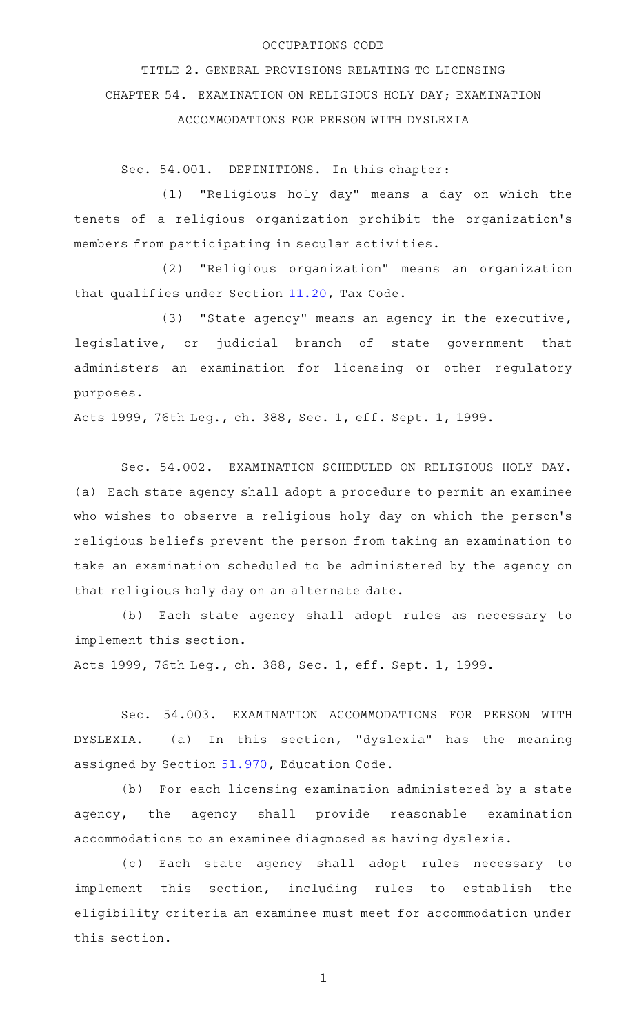## OCCUPATIONS CODE

## TITLE 2. GENERAL PROVISIONS RELATING TO LICENSING CHAPTER 54. EXAMINATION ON RELIGIOUS HOLY DAY; EXAMINATION ACCOMMODATIONS FOR PERSON WITH DYSLEXIA

Sec. 54.001. DEFINITIONS. In this chapter:

(1) "Religious holy day" means a day on which the tenets of a religious organization prohibit the organization 's members from participating in secular activities.

(2) "Religious organization" means an organization that qualifies under Section [11.20,](http://www.statutes.legis.state.tx.us/GetStatute.aspx?Code=TX&Value=11.20) Tax Code.

(3) "State agency" means an agency in the executive, legislative, or judicial branch of state government that administers an examination for licensing or other regulatory purposes.

Acts 1999, 76th Leg., ch. 388, Sec. 1, eff. Sept. 1, 1999.

Sec. 54.002. EXAMINATION SCHEDULED ON RELIGIOUS HOLY DAY. (a) Each state agency shall adopt a procedure to permit an examinee who wishes to observe a religious holy day on which the person's religious beliefs prevent the person from taking an examination to take an examination scheduled to be administered by the agency on that religious holy day on an alternate date.

(b) Each state agency shall adopt rules as necessary to implement this section.

Acts 1999, 76th Leg., ch. 388, Sec. 1, eff. Sept. 1, 1999.

Sec. 54.003. EXAMINATION ACCOMMODATIONS FOR PERSON WITH DYSLEXIA. (a) In this section, "dyslexia" has the meaning assigned by Section [51.970,](http://www.statutes.legis.state.tx.us/GetStatute.aspx?Code=ED&Value=51.970) Education Code.

(b) For each licensing examination administered by a state agency, the agency shall provide reasonable examination accommodations to an examinee diagnosed as having dyslexia.

(c) Each state agency shall adopt rules necessary to implement this section, including rules to establish the eligibility criteria an examinee must meet for accommodation under this section.

1